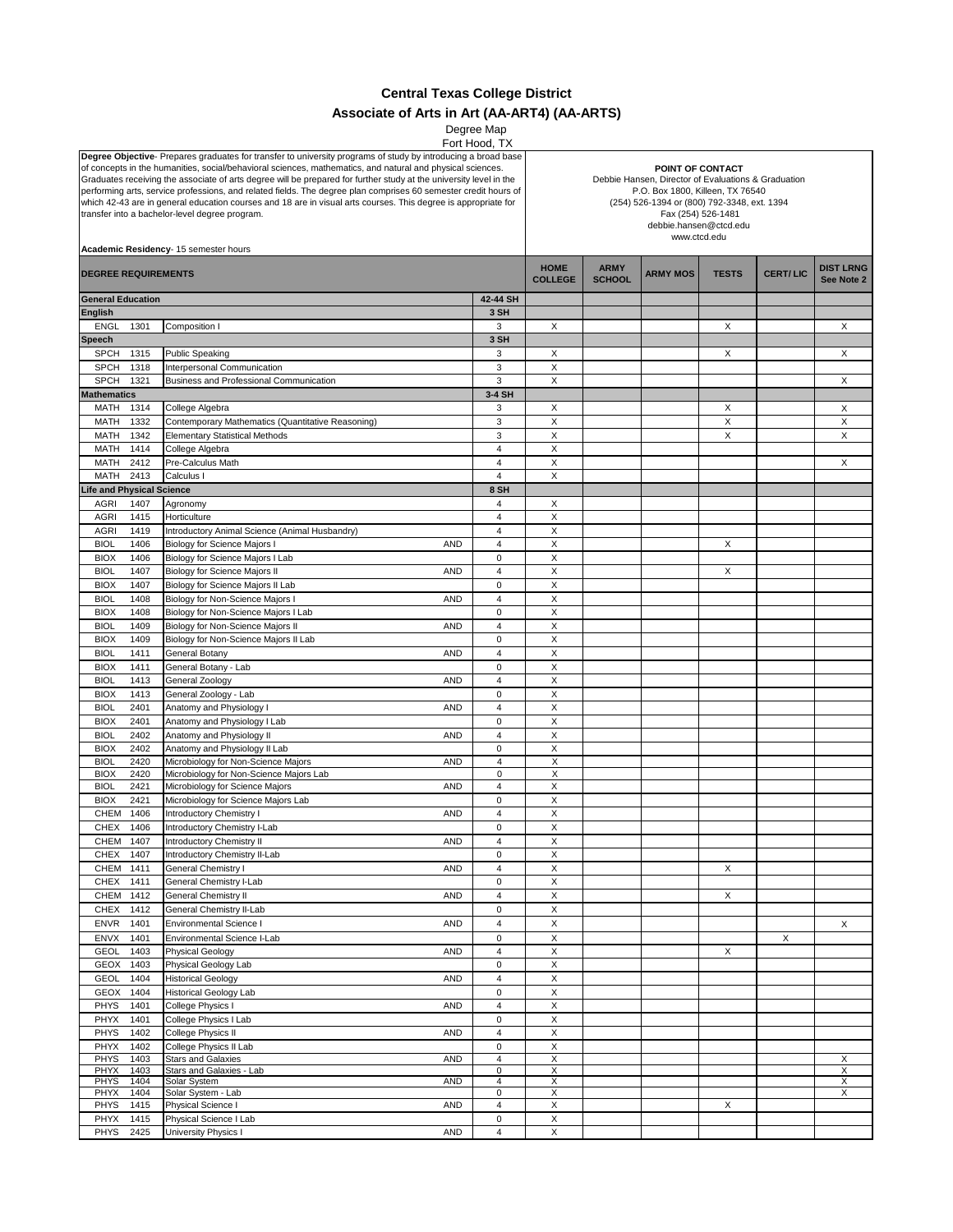## **Central Texas College District Associate of Arts in Art (AA-ART4) (AA-ARTS)**

Degree Map

| Fort Hood, IX                                                                                                                                                                                                                                                                                                                                                                                             |      |                                                   |                         |                                                                                                                                                              |                  |                 |              |                 |                  |  |  |                                       |  |  |  |                        |  |  |  |
|-----------------------------------------------------------------------------------------------------------------------------------------------------------------------------------------------------------------------------------------------------------------------------------------------------------------------------------------------------------------------------------------------------------|------|---------------------------------------------------|-------------------------|--------------------------------------------------------------------------------------------------------------------------------------------------------------|------------------|-----------------|--------------|-----------------|------------------|--|--|---------------------------------------|--|--|--|------------------------|--|--|--|
| Degree Objective- Prepares graduates for transfer to university programs of study by introducing a broad base                                                                                                                                                                                                                                                                                             |      |                                                   |                         |                                                                                                                                                              |                  |                 |              |                 |                  |  |  |                                       |  |  |  |                        |  |  |  |
| of concepts in the humanities, social/behavioral sciences, mathematics, and natural and physical sciences.                                                                                                                                                                                                                                                                                                |      |                                                   |                         |                                                                                                                                                              | POINT OF CONTACT |                 |              |                 |                  |  |  |                                       |  |  |  |                        |  |  |  |
| Graduates receiving the associate of arts degree will be prepared for further study at the university level in the<br>performing arts, service professions, and related fields. The degree plan comprises 60 semester credit hours of<br>which 42-43 are in general education courses and 18 are in visual arts courses. This degree is appropriate for<br>transfer into a bachelor-level degree program. |      |                                                   |                         |                                                                                                                                                              |                  |                 |              |                 |                  |  |  |                                       |  |  |  |                        |  |  |  |
|                                                                                                                                                                                                                                                                                                                                                                                                           |      |                                                   |                         | Debbie Hansen, Director of Evaluations & Graduation<br>P.O. Box 1800, Killeen, TX 76540<br>(254) 526-1394 or (800) 792-3348, ext. 1394<br>Fax (254) 526-1481 |                  |                 |              |                 |                  |  |  |                                       |  |  |  |                        |  |  |  |
|                                                                                                                                                                                                                                                                                                                                                                                                           |      |                                                   |                         |                                                                                                                                                              |                  |                 |              |                 |                  |  |  |                                       |  |  |  | debbie.hansen@ctcd.edu |  |  |  |
|                                                                                                                                                                                                                                                                                                                                                                                                           |      |                                                   |                         |                                                                                                                                                              |                  |                 |              |                 |                  |  |  |                                       |  |  |  | www.ctcd.edu           |  |  |  |
|                                                                                                                                                                                                                                                                                                                                                                                                           |      |                                                   |                         |                                                                                                                                                              |                  |                 |              |                 |                  |  |  | Academic Residency- 15 semester hours |  |  |  |                        |  |  |  |
|                                                                                                                                                                                                                                                                                                                                                                                                           |      |                                                   |                         |                                                                                                                                                              |                  |                 |              |                 |                  |  |  |                                       |  |  |  |                        |  |  |  |
|                                                                                                                                                                                                                                                                                                                                                                                                           |      |                                                   |                         |                                                                                                                                                              |                  |                 |              |                 |                  |  |  |                                       |  |  |  |                        |  |  |  |
| <b>DEGREE REQUIREMENTS</b>                                                                                                                                                                                                                                                                                                                                                                                |      |                                                   |                         | <b>HOME</b>                                                                                                                                                  | <b>ARMY</b>      | <b>ARMY MOS</b> | <b>TESTS</b> | <b>CERT/LIC</b> | <b>DIST LRNG</b> |  |  |                                       |  |  |  |                        |  |  |  |
|                                                                                                                                                                                                                                                                                                                                                                                                           |      |                                                   |                         | <b>COLLEGE</b>                                                                                                                                               | <b>SCHOOL</b>    |                 |              |                 | See Note 2       |  |  |                                       |  |  |  |                        |  |  |  |
|                                                                                                                                                                                                                                                                                                                                                                                                           |      |                                                   |                         |                                                                                                                                                              |                  |                 |              |                 |                  |  |  |                                       |  |  |  |                        |  |  |  |
| <b>General Education</b>                                                                                                                                                                                                                                                                                                                                                                                  |      |                                                   | 42-44 SH                |                                                                                                                                                              |                  |                 |              |                 |                  |  |  |                                       |  |  |  |                        |  |  |  |
| <b>English</b>                                                                                                                                                                                                                                                                                                                                                                                            |      |                                                   | 3 SH                    |                                                                                                                                                              |                  |                 |              |                 |                  |  |  |                                       |  |  |  |                        |  |  |  |
|                                                                                                                                                                                                                                                                                                                                                                                                           |      |                                                   |                         |                                                                                                                                                              |                  |                 |              |                 |                  |  |  |                                       |  |  |  |                        |  |  |  |
| <b>ENGL</b>                                                                                                                                                                                                                                                                                                                                                                                               | 1301 | Composition I                                     | 3                       | X                                                                                                                                                            |                  |                 | X            |                 | X                |  |  |                                       |  |  |  |                        |  |  |  |
|                                                                                                                                                                                                                                                                                                                                                                                                           |      |                                                   |                         |                                                                                                                                                              |                  |                 |              |                 |                  |  |  |                                       |  |  |  |                        |  |  |  |
| <b>Speech</b>                                                                                                                                                                                                                                                                                                                                                                                             |      |                                                   | 3 SH                    |                                                                                                                                                              |                  |                 |              |                 |                  |  |  |                                       |  |  |  |                        |  |  |  |
| <b>SPCH</b>                                                                                                                                                                                                                                                                                                                                                                                               | 1315 | <b>Public Speaking</b>                            | 3                       | X                                                                                                                                                            |                  |                 | X            |                 | X                |  |  |                                       |  |  |  |                        |  |  |  |
| <b>SPCH</b>                                                                                                                                                                                                                                                                                                                                                                                               | 1318 |                                                   | 3                       | X                                                                                                                                                            |                  |                 |              |                 |                  |  |  |                                       |  |  |  |                        |  |  |  |
|                                                                                                                                                                                                                                                                                                                                                                                                           |      | Interpersonal Communication                       |                         |                                                                                                                                                              |                  |                 |              |                 |                  |  |  |                                       |  |  |  |                        |  |  |  |
| <b>SPCH</b>                                                                                                                                                                                                                                                                                                                                                                                               | 1321 | Business and Professional Communication           | 3                       | $\mathsf X$                                                                                                                                                  |                  |                 |              |                 | X                |  |  |                                       |  |  |  |                        |  |  |  |
|                                                                                                                                                                                                                                                                                                                                                                                                           |      |                                                   |                         |                                                                                                                                                              |                  |                 |              |                 |                  |  |  |                                       |  |  |  |                        |  |  |  |
| <b>Mathematics</b>                                                                                                                                                                                                                                                                                                                                                                                        |      |                                                   | 3-4 SH                  |                                                                                                                                                              |                  |                 |              |                 |                  |  |  |                                       |  |  |  |                        |  |  |  |
| MATH                                                                                                                                                                                                                                                                                                                                                                                                      | 1314 | College Algebra                                   | 3                       | X                                                                                                                                                            |                  |                 | X            |                 | Χ                |  |  |                                       |  |  |  |                        |  |  |  |
|                                                                                                                                                                                                                                                                                                                                                                                                           |      |                                                   |                         |                                                                                                                                                              |                  |                 |              |                 |                  |  |  |                                       |  |  |  |                        |  |  |  |
| MATH                                                                                                                                                                                                                                                                                                                                                                                                      | 1332 | Contemporary Mathematics (Quantitative Reasoning) | 3                       | X                                                                                                                                                            |                  |                 | X            |                 | X                |  |  |                                       |  |  |  |                        |  |  |  |
| MATH                                                                                                                                                                                                                                                                                                                                                                                                      | 1342 | <b>Elementary Statistical Methods</b>             | 3                       | X                                                                                                                                                            |                  |                 | X            |                 | Χ                |  |  |                                       |  |  |  |                        |  |  |  |
|                                                                                                                                                                                                                                                                                                                                                                                                           |      |                                                   |                         |                                                                                                                                                              |                  |                 |              |                 |                  |  |  |                                       |  |  |  |                        |  |  |  |
| MATH                                                                                                                                                                                                                                                                                                                                                                                                      | 1414 | College Algebra                                   | $\overline{4}$          | X                                                                                                                                                            |                  |                 |              |                 |                  |  |  |                                       |  |  |  |                        |  |  |  |
| MATH                                                                                                                                                                                                                                                                                                                                                                                                      | 2412 | Pre-Calculus Math                                 | 4                       | X                                                                                                                                                            |                  |                 |              |                 | X                |  |  |                                       |  |  |  |                        |  |  |  |
|                                                                                                                                                                                                                                                                                                                                                                                                           |      |                                                   |                         |                                                                                                                                                              |                  |                 |              |                 |                  |  |  |                                       |  |  |  |                        |  |  |  |
| MATH                                                                                                                                                                                                                                                                                                                                                                                                      | 2413 | Calculus I                                        | 4                       | X                                                                                                                                                            |                  |                 |              |                 |                  |  |  |                                       |  |  |  |                        |  |  |  |
| ife and Physical Science                                                                                                                                                                                                                                                                                                                                                                                  |      |                                                   | 8 SH                    |                                                                                                                                                              |                  |                 |              |                 |                  |  |  |                                       |  |  |  |                        |  |  |  |
|                                                                                                                                                                                                                                                                                                                                                                                                           |      |                                                   |                         |                                                                                                                                                              |                  |                 |              |                 |                  |  |  |                                       |  |  |  |                        |  |  |  |
| <b>AGRI</b>                                                                                                                                                                                                                                                                                                                                                                                               | 1407 | Agronomy                                          | 4                       | X                                                                                                                                                            |                  |                 |              |                 |                  |  |  |                                       |  |  |  |                        |  |  |  |
|                                                                                                                                                                                                                                                                                                                                                                                                           |      | Horticulture                                      | 4                       | X                                                                                                                                                            |                  |                 |              |                 |                  |  |  |                                       |  |  |  |                        |  |  |  |
| <b>AGRI</b>                                                                                                                                                                                                                                                                                                                                                                                               | 1415 |                                                   |                         |                                                                                                                                                              |                  |                 |              |                 |                  |  |  |                                       |  |  |  |                        |  |  |  |
| <b>AGRI</b>                                                                                                                                                                                                                                                                                                                                                                                               | 1419 | Introductory Animal Science (Animal Husbandry)    | 4                       | X                                                                                                                                                            |                  |                 |              |                 |                  |  |  |                                       |  |  |  |                        |  |  |  |
|                                                                                                                                                                                                                                                                                                                                                                                                           |      |                                                   | $\overline{4}$          | $\pmb{\times}$                                                                                                                                               |                  |                 | X            |                 |                  |  |  |                                       |  |  |  |                        |  |  |  |
| <b>BIOL</b>                                                                                                                                                                                                                                                                                                                                                                                               | 1406 | Biology for Science Majors I<br><b>AND</b>        |                         |                                                                                                                                                              |                  |                 |              |                 |                  |  |  |                                       |  |  |  |                        |  |  |  |
| <b>BIOX</b>                                                                                                                                                                                                                                                                                                                                                                                               | 1406 | Biology for Science Majors I Lab                  | $\mathbf 0$             | X                                                                                                                                                            |                  |                 |              |                 |                  |  |  |                                       |  |  |  |                        |  |  |  |
|                                                                                                                                                                                                                                                                                                                                                                                                           |      |                                                   |                         |                                                                                                                                                              |                  |                 |              |                 |                  |  |  |                                       |  |  |  |                        |  |  |  |
| <b>BIOL</b>                                                                                                                                                                                                                                                                                                                                                                                               | 1407 | Biology for Science Majors II<br><b>AND</b>       | 4                       | X                                                                                                                                                            |                  |                 | X            |                 |                  |  |  |                                       |  |  |  |                        |  |  |  |
| <b>BIOX</b>                                                                                                                                                                                                                                                                                                                                                                                               | 1407 | Biology for Science Majors II Lab                 | 0                       | X                                                                                                                                                            |                  |                 |              |                 |                  |  |  |                                       |  |  |  |                        |  |  |  |
|                                                                                                                                                                                                                                                                                                                                                                                                           |      |                                                   |                         |                                                                                                                                                              |                  |                 |              |                 |                  |  |  |                                       |  |  |  |                        |  |  |  |
| <b>BIOL</b>                                                                                                                                                                                                                                                                                                                                                                                               | 1408 | Biology for Non-Science Majors I<br><b>AND</b>    | $\overline{4}$          | X                                                                                                                                                            |                  |                 |              |                 |                  |  |  |                                       |  |  |  |                        |  |  |  |
| <b>BIOX</b>                                                                                                                                                                                                                                                                                                                                                                                               | 1408 | Biology for Non-Science Majors I Lab              | $\pmb{0}$               | X                                                                                                                                                            |                  |                 |              |                 |                  |  |  |                                       |  |  |  |                        |  |  |  |
|                                                                                                                                                                                                                                                                                                                                                                                                           |      |                                                   |                         |                                                                                                                                                              |                  |                 |              |                 |                  |  |  |                                       |  |  |  |                        |  |  |  |
| <b>BIOL</b>                                                                                                                                                                                                                                                                                                                                                                                               | 1409 | Biology for Non-Science Majors II<br><b>AND</b>   | $\overline{4}$          | X                                                                                                                                                            |                  |                 |              |                 |                  |  |  |                                       |  |  |  |                        |  |  |  |
| <b>BIOX</b>                                                                                                                                                                                                                                                                                                                                                                                               | 1409 | Biology for Non-Science Majors II Lab             | 0                       | X                                                                                                                                                            |                  |                 |              |                 |                  |  |  |                                       |  |  |  |                        |  |  |  |
|                                                                                                                                                                                                                                                                                                                                                                                                           |      |                                                   |                         |                                                                                                                                                              |                  |                 |              |                 |                  |  |  |                                       |  |  |  |                        |  |  |  |
| <b>BIOL</b>                                                                                                                                                                                                                                                                                                                                                                                               | 1411 | General Botany<br><b>AND</b>                      | 4                       | X                                                                                                                                                            |                  |                 |              |                 |                  |  |  |                                       |  |  |  |                        |  |  |  |
|                                                                                                                                                                                                                                                                                                                                                                                                           |      |                                                   |                         |                                                                                                                                                              |                  |                 |              |                 |                  |  |  |                                       |  |  |  |                        |  |  |  |
| <b>BIOX</b>                                                                                                                                                                                                                                                                                                                                                                                               | 1411 | General Botany - Lab                              | $\pmb{0}$               | X                                                                                                                                                            |                  |                 |              |                 |                  |  |  |                                       |  |  |  |                        |  |  |  |
| <b>BIOL</b>                                                                                                                                                                                                                                                                                                                                                                                               | 1413 | General Zoology<br><b>AND</b>                     | $\overline{4}$          | X                                                                                                                                                            |                  |                 |              |                 |                  |  |  |                                       |  |  |  |                        |  |  |  |
|                                                                                                                                                                                                                                                                                                                                                                                                           |      |                                                   |                         |                                                                                                                                                              |                  |                 |              |                 |                  |  |  |                                       |  |  |  |                        |  |  |  |
| <b>BIOX</b>                                                                                                                                                                                                                                                                                                                                                                                               | 1413 | General Zoology - Lab                             | 0                       | $\pmb{\times}$                                                                                                                                               |                  |                 |              |                 |                  |  |  |                                       |  |  |  |                        |  |  |  |
| <b>BIOL</b>                                                                                                                                                                                                                                                                                                                                                                                               | 2401 | Anatomy and Physiology I<br><b>AND</b>            | $\overline{4}$          | $\mathsf X$                                                                                                                                                  |                  |                 |              |                 |                  |  |  |                                       |  |  |  |                        |  |  |  |
|                                                                                                                                                                                                                                                                                                                                                                                                           |      |                                                   |                         |                                                                                                                                                              |                  |                 |              |                 |                  |  |  |                                       |  |  |  |                        |  |  |  |
| <b>BIOX</b>                                                                                                                                                                                                                                                                                                                                                                                               | 2401 | Anatomy and Physiology I Lab                      | $\mathbf 0$             | $\pmb{\times}$                                                                                                                                               |                  |                 |              |                 |                  |  |  |                                       |  |  |  |                        |  |  |  |
| <b>BIOL</b>                                                                                                                                                                                                                                                                                                                                                                                               | 2402 | Anatomy and Physiology II<br><b>AND</b>           | 4                       | X                                                                                                                                                            |                  |                 |              |                 |                  |  |  |                                       |  |  |  |                        |  |  |  |
|                                                                                                                                                                                                                                                                                                                                                                                                           |      |                                                   |                         |                                                                                                                                                              |                  |                 |              |                 |                  |  |  |                                       |  |  |  |                        |  |  |  |
| <b>BIOX</b>                                                                                                                                                                                                                                                                                                                                                                                               | 2402 | Anatomy and Physiology II Lab                     | 0                       | X                                                                                                                                                            |                  |                 |              |                 |                  |  |  |                                       |  |  |  |                        |  |  |  |
| <b>BIOL</b>                                                                                                                                                                                                                                                                                                                                                                                               | 2420 | Microbiology for Non-Science Majors<br><b>AND</b> | $\overline{\mathbf{4}}$ | X                                                                                                                                                            |                  |                 |              |                 |                  |  |  |                                       |  |  |  |                        |  |  |  |
|                                                                                                                                                                                                                                                                                                                                                                                                           |      |                                                   |                         |                                                                                                                                                              |                  |                 |              |                 |                  |  |  |                                       |  |  |  |                        |  |  |  |
| <b>BIOX</b>                                                                                                                                                                                                                                                                                                                                                                                               | 2420 | Microbiology for Non-Science Majors Lab           | 0                       | X                                                                                                                                                            |                  |                 |              |                 |                  |  |  |                                       |  |  |  |                        |  |  |  |
| <b>BIOL</b>                                                                                                                                                                                                                                                                                                                                                                                               | 2421 | Microbiology for Science Majors<br><b>AND</b>     | $\overline{4}$          | $\pmb{\times}$                                                                                                                                               |                  |                 |              |                 |                  |  |  |                                       |  |  |  |                        |  |  |  |
|                                                                                                                                                                                                                                                                                                                                                                                                           |      |                                                   |                         | X                                                                                                                                                            |                  |                 |              |                 |                  |  |  |                                       |  |  |  |                        |  |  |  |
| <b>BIOX</b>                                                                                                                                                                                                                                                                                                                                                                                               | 2421 | Microbiology for Science Majors Lab               | 0                       |                                                                                                                                                              |                  |                 |              |                 |                  |  |  |                                       |  |  |  |                        |  |  |  |
| <b>CHEM</b>                                                                                                                                                                                                                                                                                                                                                                                               | 1406 | <b>Introductory Chemistry I</b><br><b>AND</b>     | $\overline{4}$          | X                                                                                                                                                            |                  |                 |              |                 |                  |  |  |                                       |  |  |  |                        |  |  |  |
| <b>CHEX</b>                                                                                                                                                                                                                                                                                                                                                                                               | 1406 | Introductory Chemistry I-Lab                      | 0                       | X                                                                                                                                                            |                  |                 |              |                 |                  |  |  |                                       |  |  |  |                        |  |  |  |
|                                                                                                                                                                                                                                                                                                                                                                                                           |      |                                                   |                         |                                                                                                                                                              |                  |                 |              |                 |                  |  |  |                                       |  |  |  |                        |  |  |  |
| CHEM                                                                                                                                                                                                                                                                                                                                                                                                      | 1407 | AND<br>Introductory Chemistry II                  | 4                       | х                                                                                                                                                            |                  |                 |              |                 |                  |  |  |                                       |  |  |  |                        |  |  |  |
| CHEX                                                                                                                                                                                                                                                                                                                                                                                                      | 1407 | Introductory Chemistry II-Lab                     | 0                       | X                                                                                                                                                            |                  |                 |              |                 |                  |  |  |                                       |  |  |  |                        |  |  |  |
|                                                                                                                                                                                                                                                                                                                                                                                                           |      |                                                   |                         |                                                                                                                                                              |                  |                 |              |                 |                  |  |  |                                       |  |  |  |                        |  |  |  |
| CHEM                                                                                                                                                                                                                                                                                                                                                                                                      | 1411 | General Chemistry I<br><b>AND</b>                 | 4                       | Χ                                                                                                                                                            |                  |                 | X            |                 |                  |  |  |                                       |  |  |  |                        |  |  |  |
| CHEX                                                                                                                                                                                                                                                                                                                                                                                                      | 1411 | General Chemistry I-Lab                           | 0                       | Χ                                                                                                                                                            |                  |                 |              |                 |                  |  |  |                                       |  |  |  |                        |  |  |  |
|                                                                                                                                                                                                                                                                                                                                                                                                           |      |                                                   |                         |                                                                                                                                                              |                  |                 |              |                 |                  |  |  |                                       |  |  |  |                        |  |  |  |
| CHEM                                                                                                                                                                                                                                                                                                                                                                                                      | 1412 | <b>General Chemistry II</b><br><b>AND</b>         | 4                       | Χ                                                                                                                                                            |                  |                 | X            |                 |                  |  |  |                                       |  |  |  |                        |  |  |  |
| CHEX                                                                                                                                                                                                                                                                                                                                                                                                      | 1412 | General Chemistry II-Lab                          | 0                       | X                                                                                                                                                            |                  |                 |              |                 |                  |  |  |                                       |  |  |  |                        |  |  |  |
|                                                                                                                                                                                                                                                                                                                                                                                                           |      |                                                   |                         |                                                                                                                                                              |                  |                 |              |                 |                  |  |  |                                       |  |  |  |                        |  |  |  |
| <b>ENVR</b>                                                                                                                                                                                                                                                                                                                                                                                               | 1401 | Environmental Science I<br><b>AND</b>             | 4                       | Χ                                                                                                                                                            |                  |                 |              |                 | X                |  |  |                                       |  |  |  |                        |  |  |  |
|                                                                                                                                                                                                                                                                                                                                                                                                           |      |                                                   |                         |                                                                                                                                                              |                  |                 |              |                 |                  |  |  |                                       |  |  |  |                        |  |  |  |
| ENVX                                                                                                                                                                                                                                                                                                                                                                                                      | 1401 | Environmental Science I-Lab                       | 0                       | X                                                                                                                                                            |                  |                 |              | X               |                  |  |  |                                       |  |  |  |                        |  |  |  |
| GEOL                                                                                                                                                                                                                                                                                                                                                                                                      | 1403 | Physical Geology<br><b>AND</b>                    | 4                       | $\mathsf X$                                                                                                                                                  |                  |                 | X            |                 |                  |  |  |                                       |  |  |  |                        |  |  |  |
|                                                                                                                                                                                                                                                                                                                                                                                                           |      |                                                   |                         |                                                                                                                                                              |                  |                 |              |                 |                  |  |  |                                       |  |  |  |                        |  |  |  |
| GEOX                                                                                                                                                                                                                                                                                                                                                                                                      | 1403 | Physical Geology Lab                              | $\pmb{0}$               | X                                                                                                                                                            |                  |                 |              |                 |                  |  |  |                                       |  |  |  |                        |  |  |  |
| <b>GEOL</b>                                                                                                                                                                                                                                                                                                                                                                                               | 1404 | <b>Historical Geology</b><br><b>AND</b>           | 4                       | X                                                                                                                                                            |                  |                 |              |                 |                  |  |  |                                       |  |  |  |                        |  |  |  |
|                                                                                                                                                                                                                                                                                                                                                                                                           |      |                                                   |                         |                                                                                                                                                              |                  |                 |              |                 |                  |  |  |                                       |  |  |  |                        |  |  |  |
| GEOX                                                                                                                                                                                                                                                                                                                                                                                                      | 1404 | <b>Historical Geology Lab</b>                     | $\pmb{0}$               | X                                                                                                                                                            |                  |                 |              |                 |                  |  |  |                                       |  |  |  |                        |  |  |  |
| <b>PHYS</b>                                                                                                                                                                                                                                                                                                                                                                                               | 1401 | College Physics I<br><b>AND</b>                   | 4                       | X                                                                                                                                                            |                  |                 |              |                 |                  |  |  |                                       |  |  |  |                        |  |  |  |
|                                                                                                                                                                                                                                                                                                                                                                                                           |      |                                                   |                         |                                                                                                                                                              |                  |                 |              |                 |                  |  |  |                                       |  |  |  |                        |  |  |  |
| PHYX                                                                                                                                                                                                                                                                                                                                                                                                      | 1401 | College Physics I Lab                             | $\pmb{0}$               | X                                                                                                                                                            |                  |                 |              |                 |                  |  |  |                                       |  |  |  |                        |  |  |  |
| PHYS                                                                                                                                                                                                                                                                                                                                                                                                      | 1402 | College Physics II<br><b>AND</b>                  | $\overline{4}$          | X                                                                                                                                                            |                  |                 |              |                 |                  |  |  |                                       |  |  |  |                        |  |  |  |
|                                                                                                                                                                                                                                                                                                                                                                                                           |      |                                                   |                         |                                                                                                                                                              |                  |                 |              |                 |                  |  |  |                                       |  |  |  |                        |  |  |  |
| PHYX                                                                                                                                                                                                                                                                                                                                                                                                      | 1402 | College Physics II Lab                            | $\pmb{0}$               | X                                                                                                                                                            |                  |                 |              |                 |                  |  |  |                                       |  |  |  |                        |  |  |  |
| PHYS                                                                                                                                                                                                                                                                                                                                                                                                      | 1403 | <b>Stars and Galaxies</b><br><b>AND</b>           | 4                       | $\overline{\mathsf{x}}$                                                                                                                                      |                  |                 |              |                 | X                |  |  |                                       |  |  |  |                        |  |  |  |
|                                                                                                                                                                                                                                                                                                                                                                                                           |      |                                                   |                         |                                                                                                                                                              |                  |                 |              |                 |                  |  |  |                                       |  |  |  |                        |  |  |  |
| <b>PHYX</b>                                                                                                                                                                                                                                                                                                                                                                                               | 1403 | Stars and Galaxies - Lab                          | 0                       | X                                                                                                                                                            |                  |                 |              |                 | X                |  |  |                                       |  |  |  |                        |  |  |  |
| <b>PHYS</b>                                                                                                                                                                                                                                                                                                                                                                                               | 1404 | Solar System<br><b>AND</b>                        | 4                       | Χ                                                                                                                                                            |                  |                 |              |                 | X                |  |  |                                       |  |  |  |                        |  |  |  |
| <b>PHYX</b>                                                                                                                                                                                                                                                                                                                                                                                               | 1404 | Solar System - Lab                                | 0                       | X                                                                                                                                                            |                  |                 |              |                 | X                |  |  |                                       |  |  |  |                        |  |  |  |
| <b>PHYS</b>                                                                                                                                                                                                                                                                                                                                                                                               |      | <b>AND</b>                                        | 4                       | X                                                                                                                                                            |                  |                 | X            |                 |                  |  |  |                                       |  |  |  |                        |  |  |  |
|                                                                                                                                                                                                                                                                                                                                                                                                           | 1415 | Physical Science I                                |                         |                                                                                                                                                              |                  |                 |              |                 |                  |  |  |                                       |  |  |  |                        |  |  |  |
| PHYX                                                                                                                                                                                                                                                                                                                                                                                                      | 1415 | Physical Science I Lab                            | $\pmb{0}$               | X                                                                                                                                                            |                  |                 |              |                 |                  |  |  |                                       |  |  |  |                        |  |  |  |
| PHYS                                                                                                                                                                                                                                                                                                                                                                                                      | 2425 | University Physics I<br><b>AND</b>                | 4                       | X                                                                                                                                                            |                  |                 |              |                 |                  |  |  |                                       |  |  |  |                        |  |  |  |
|                                                                                                                                                                                                                                                                                                                                                                                                           |      |                                                   |                         |                                                                                                                                                              |                  |                 |              |                 |                  |  |  |                                       |  |  |  |                        |  |  |  |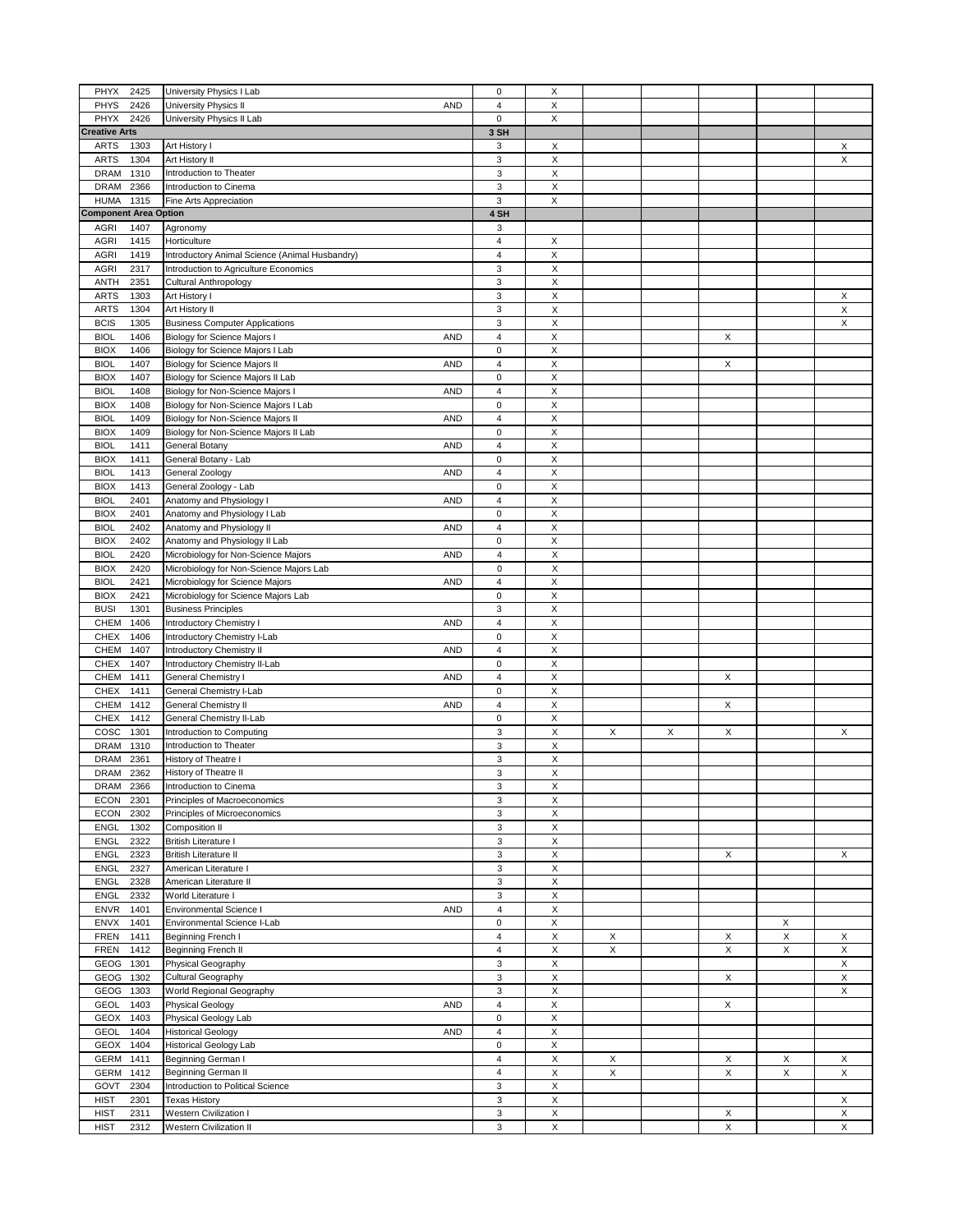| PHYX                         | 2425 | University Physics I Lab                          | $\pmb{0}$      | X                       |   |   |   |   |   |
|------------------------------|------|---------------------------------------------------|----------------|-------------------------|---|---|---|---|---|
| PHYS                         | 2426 | University Physics II<br><b>AND</b>               | 4              | X                       |   |   |   |   |   |
| PHYX                         | 2426 |                                                   | 0              | X                       |   |   |   |   |   |
|                              |      | University Physics II Lab                         |                |                         |   |   |   |   |   |
| <b>Creative Arts</b>         |      |                                                   | 3 SH           |                         |   |   |   |   |   |
| <b>ARTS</b>                  | 1303 | Art History I                                     | 3              | X                       |   |   |   |   | X |
| <b>ARTS</b>                  | 1304 | Art History II                                    | 3              | $\mathsf X$             |   |   |   |   | X |
| <b>DRAM</b>                  | 1310 | Introduction to Theater                           | 3              | X                       |   |   |   |   |   |
| <b>DRAM</b>                  | 2366 | Introduction to Cinema                            | 3              | $\mathsf X$             |   |   |   |   |   |
| <b>HUMA</b>                  | 1315 | Fine Arts Appreciation                            | 3              | X                       |   |   |   |   |   |
| <b>Component Area Option</b> |      |                                                   | 4 SH           |                         |   |   |   |   |   |
| AGRI                         | 1407 | Agronomy                                          | 3              |                         |   |   |   |   |   |
| AGRI                         |      |                                                   | $\overline{4}$ | X                       |   |   |   |   |   |
|                              | 1415 | Horticulture                                      |                |                         |   |   |   |   |   |
| AGRI                         | 1419 | Introductory Animal Science (Animal Husbandry)    | $\overline{4}$ | X                       |   |   |   |   |   |
| <b>AGRI</b>                  | 2317 | Introduction to Agriculture Economics             | $\mathsf 3$    | X                       |   |   |   |   |   |
| <b>ANTH</b>                  | 2351 | <b>Cultural Anthropology</b>                      | 3              | $\mathsf X$             |   |   |   |   |   |
| <b>ARTS</b>                  | 1303 | Art History I                                     | 3              | X                       |   |   |   |   | X |
| <b>ARTS</b>                  | 1304 | Art History II                                    | 3              | $\mathsf X$             |   |   |   |   | X |
| <b>BCIS</b>                  | 1305 | <b>Business Computer Applications</b>             | $\mathsf 3$    | $\overline{\mathsf{X}}$ |   |   |   |   | X |
| <b>BIOL</b>                  | 1406 | Biology for Science Majors I<br><b>AND</b>        | $\overline{4}$ | X                       |   |   | X |   |   |
| <b>BIOX</b>                  | 1406 | Biology for Science Majors I Lab                  | $\pmb{0}$      | $\mathsf X$             |   |   |   |   |   |
| <b>BIOL</b>                  | 1407 | Biology for Science Majors II<br><b>AND</b>       | $\overline{4}$ | X                       |   |   | X |   |   |
| <b>BIOX</b>                  | 1407 | Biology for Science Majors II Lab                 | $\pmb{0}$      | X                       |   |   |   |   |   |
| <b>BIOL</b>                  | 1408 | Biology for Non-Science Majors I<br><b>AND</b>    | $\overline{4}$ | X                       |   |   |   |   |   |
|                              |      |                                                   | 0              | X                       |   |   |   |   |   |
| <b>BIOX</b>                  | 1408 | Biology for Non-Science Majors I Lab              |                |                         |   |   |   |   |   |
| <b>BIOL</b>                  | 1409 | Biology for Non-Science Majors II<br><b>AND</b>   | $\overline{4}$ | X                       |   |   |   |   |   |
| <b>BIOX</b>                  | 1409 | Biology for Non-Science Majors II Lab             | $\pmb{0}$      | X                       |   |   |   |   |   |
| <b>BIOL</b>                  | 1411 | General Botany<br><b>AND</b>                      | 4              | X                       |   |   |   |   |   |
| <b>BIOX</b>                  | 1411 | General Botany - Lab                              | 0              | X                       |   |   |   |   |   |
| <b>BIOL</b>                  | 1413 | General Zoology<br><b>AND</b>                     | 4              | X                       |   |   |   |   |   |
| <b>BIOX</b>                  | 1413 | General Zoology - Lab                             | $\pmb{0}$      | X                       |   |   |   |   |   |
| <b>BIOL</b>                  | 2401 | Anatomy and Physiology I<br><b>AND</b>            | 4              | $\mathsf X$             |   |   |   |   |   |
| <b>BIOX</b>                  | 2401 | Anatomy and Physiology I Lab                      | $\pmb{0}$      | X                       |   |   |   |   |   |
| <b>BIOL</b>                  | 2402 | Anatomy and Physiology II<br><b>AND</b>           | $\overline{4}$ | X                       |   |   |   |   |   |
| <b>BIOX</b>                  | 2402 | Anatomy and Physiology II Lab                     | $\pmb{0}$      | X                       |   |   |   |   |   |
| <b>BIOL</b>                  | 2420 | Microbiology for Non-Science Majors<br><b>AND</b> | 4              | X                       |   |   |   |   |   |
| <b>BIOX</b>                  |      |                                                   | $\pmb{0}$      | X                       |   |   |   |   |   |
|                              | 2420 | Microbiology for Non-Science Majors Lab           |                |                         |   |   |   |   |   |
| <b>BIOL</b>                  | 2421 | <b>AND</b><br>Microbiology for Science Majors     | $\overline{4}$ | X                       |   |   |   |   |   |
| <b>BIOX</b>                  | 2421 | Microbiology for Science Majors Lab               | 0              | X                       |   |   |   |   |   |
| <b>BUSI</b>                  | 1301 | <b>Business Principles</b>                        | 3              | $\mathsf X$             |   |   |   |   |   |
| CHEM                         | 1406 | <b>AND</b><br>Introductory Chemistry I            | 4              | X                       |   |   |   |   |   |
| <b>CHEX</b>                  | 1406 | Introductory Chemistry I-Lab                      | $\pmb{0}$      | X                       |   |   |   |   |   |
| CHEM                         | 1407 | Introductory Chemistry II<br><b>AND</b>           | 4              | X                       |   |   |   |   |   |
| CHEX                         | 1407 | Introductory Chemistry II-Lab                     | $\pmb{0}$      | X                       |   |   |   |   |   |
| CHEM                         | 1411 | General Chemistry I<br><b>AND</b>                 | 4              | X                       |   |   | Χ |   |   |
| <b>CHEX</b>                  | 1411 | General Chemistry I-Lab                           | $\pmb{0}$      | X                       |   |   |   |   |   |
| CHEM                         | 1412 | General Chemistry II<br><b>AND</b>                | $\overline{4}$ | $\mathsf X$             |   |   | X |   |   |
| <b>CHEX</b>                  | 1412 | General Chemistry II-Lab                          | $\pmb{0}$      | X                       |   |   |   |   |   |
| COSC                         | 1301 |                                                   | 3              | X                       |   | X | X |   | Χ |
|                              |      | Introduction to Computing                         |                |                         | Х |   |   |   |   |
| <b>DRAM</b>                  | 1310 | Introduction to Theater                           | 3              | X                       |   |   |   |   |   |
| <b>DRAM</b>                  | 2361 | History of Theatre I                              | 3              | $\mathsf X$             |   |   |   |   |   |
| DRAM                         | 2362 | History of Theatre II                             | 3              | X                       |   |   |   |   |   |
| DRAM 2366                    |      | Introduction to Cinema                            | 3              | Х                       |   |   |   |   |   |
| <b>ECON</b>                  | 2301 | Principles of Macroeconomics                      | 3              | $\mathsf X$             |   |   |   |   |   |
| <b>ECON</b>                  | 2302 | Principles of Microeconomics                      | 3              | X                       |   |   |   |   |   |
| ENGL                         | 1302 | Composition II                                    | 3              | $\mathsf X$             |   |   |   |   |   |
| <b>ENGL</b>                  | 2322 | <b>British Literature I</b>                       | 3              | $\mathsf X$             |   |   |   |   |   |
| <b>ENGL</b>                  | 2323 | <b>British Literature II</b>                      | 3              | $\mathsf X$             |   |   | X |   | X |
| ENGL                         | 2327 | American Literature I                             | 3              | $\mathsf X$             |   |   |   |   |   |
| ENGL                         | 2328 | American Literature II                            | 3              | $\overline{X}$          |   |   |   |   |   |
| ENGL                         | 2332 | World Literature I                                | 3              | X                       |   |   |   |   |   |
| <b>ENVR</b>                  | 1401 | <b>Environmental Science I</b><br><b>AND</b>      | $\overline{4}$ | X                       |   |   |   |   |   |
| <b>ENVX</b>                  | 1401 | Environmental Science I-Lab                       | $\mathbf 0$    | X                       |   |   |   | X |   |
| FREN                         | 1411 | Beginning French I                                | $\overline{4}$ | X                       | X |   | X | X | X |
|                              |      |                                                   |                |                         |   |   |   |   |   |
| <b>FREN</b>                  | 1412 | Beginning French II                               | $\overline{4}$ | X                       | X |   | X | X | X |
| GEOG                         | 1301 | Physical Geography                                | 3              | $\mathsf X$             |   |   |   |   | X |
| GEOG                         | 1302 | Cultural Geography                                | 3              | X                       |   |   | Х |   | Χ |
| GEOG                         | 1303 | World Regional Geography                          | 3              | X                       |   |   |   |   | X |
| <b>GEOL</b>                  | 1403 | Physical Geology<br><b>AND</b>                    | $\overline{4}$ | $\mathsf X$             |   |   | X |   |   |
| <b>GEOX</b>                  | 1403 | Physical Geology Lab                              | $\pmb{0}$      | X                       |   |   |   |   |   |
| <b>GEOL</b>                  | 1404 | <b>Historical Geology</b><br><b>AND</b>           | 4              | X                       |   |   |   |   |   |
| GEOX                         | 1404 | <b>Historical Geology Lab</b>                     | $\pmb{0}$      | X                       |   |   |   |   |   |
| GERM                         | 1411 | Beginning German I                                | $\overline{4}$ | $\mathsf X$             | X |   | X | X | X |
| GERM                         | 1412 | Beginning German II                               | 4              | X                       | Х |   | Χ | Χ | Х |
| GOVT                         | 2304 | Introduction to Political Science                 | 3              | $\mathsf X$             |   |   |   |   |   |
| <b>HIST</b>                  | 2301 | <b>Texas History</b>                              | 3              | X                       |   |   |   |   | X |
|                              |      | Western Civilization I                            | 3              |                         |   |   |   |   | X |
| <b>HIST</b>                  | 2311 |                                                   |                | X                       |   |   | Х |   |   |
| <b>HIST</b>                  | 2312 | Western Civilization II                           | 3              | X                       |   |   | X |   | X |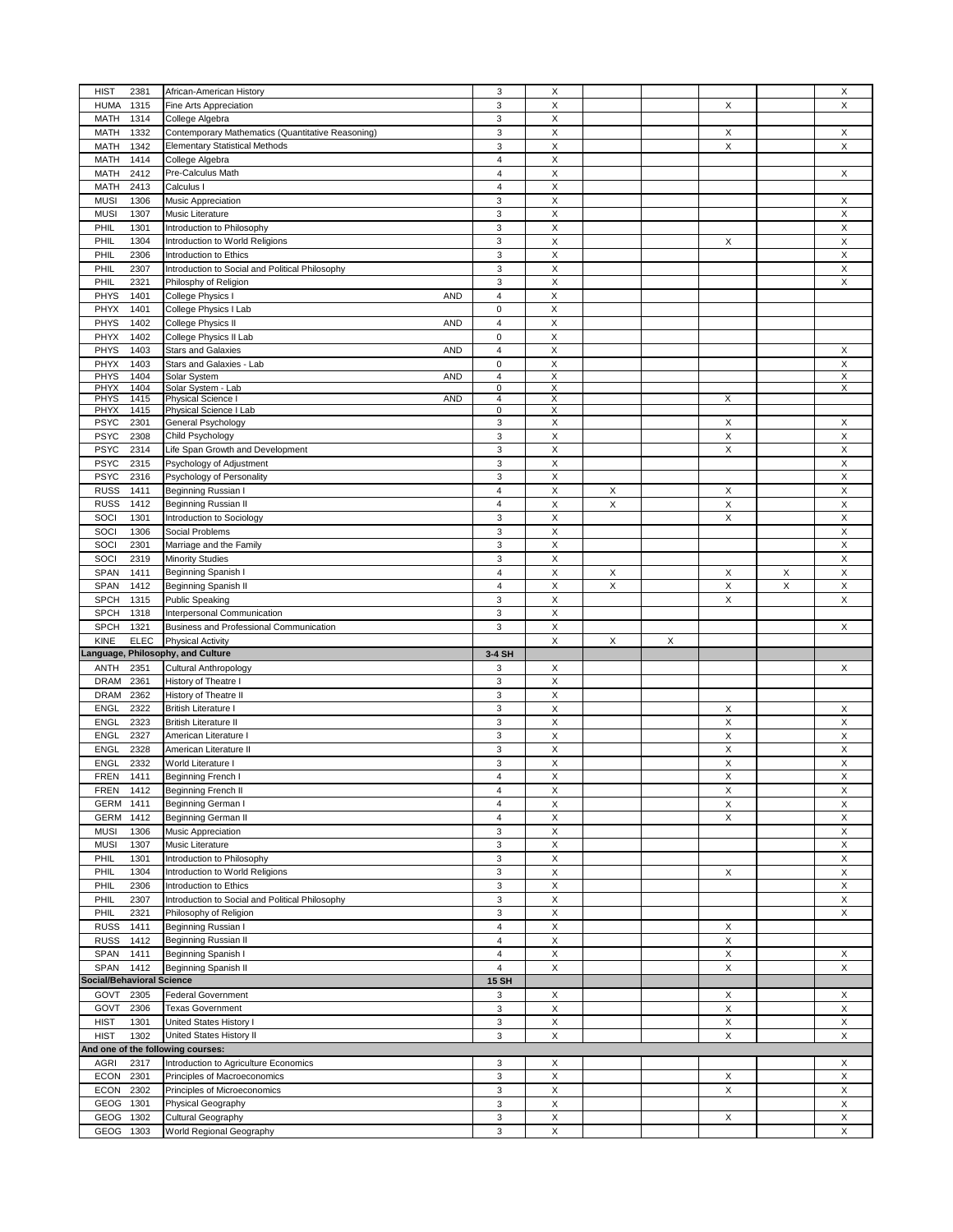| <b>HIST</b><br>2381               | African-American History                          | $\mathsf 3$             | X                  |   |   |                           |   | X                       |
|-----------------------------------|---------------------------------------------------|-------------------------|--------------------|---|---|---------------------------|---|-------------------------|
| <b>HUMA</b><br>1315               | Fine Arts Appreciation                            | 3                       | X                  |   |   | X                         |   | X                       |
| 1314<br>MATH                      | College Algebra                                   | 3                       | X                  |   |   |                           |   |                         |
|                                   |                                                   |                         |                    |   |   |                           |   |                         |
| <b>MATH</b><br>1332               | Contemporary Mathematics (Quantitative Reasoning) | 3                       | X                  |   |   | X                         |   | X                       |
| <b>MATH</b><br>1342               | <b>Elementary Statistical Methods</b>             | 3                       | $\mathsf X$        |   |   | X                         |   | X                       |
| <b>MATH</b><br>1414               | College Algebra                                   | 4                       | X                  |   |   |                           |   |                         |
|                                   |                                                   |                         |                    |   |   |                           |   |                         |
| <b>MATH</b><br>2412               | Pre-Calculus Math                                 | $\overline{4}$          | X                  |   |   |                           |   | X                       |
| <b>MATH</b><br>2413               | Calculus I                                        | $\overline{4}$          | X                  |   |   |                           |   |                         |
| <b>MUSI</b><br>1306               | Music Appreciation                                | $\mathsf 3$             | X                  |   |   |                           |   | Х                       |
|                                   |                                                   |                         |                    |   |   |                           |   |                         |
| <b>MUSI</b><br>1307               | Music Literature                                  | 3                       | X                  |   |   |                           |   | X                       |
| PHIL<br>1301                      | Introduction to Philosophy                        | $\mathsf 3$             | X                  |   |   |                           |   | X                       |
| PHIL<br>1304                      | Introduction to World Religions                   | 3                       | X                  |   |   | X                         |   | X                       |
|                                   | Introduction to Ethics                            |                         |                    |   |   |                           |   |                         |
| PHIL<br>2306                      |                                                   | 3                       | X                  |   |   |                           |   | X                       |
| PHIL<br>2307                      | Introduction to Social and Political Philosophy   | $\mathsf 3$             | X                  |   |   |                           |   | X                       |
| <b>PHIL</b><br>2321               | Philosphy of Religion                             | 3                       | $\mathsf X$        |   |   |                           |   | X                       |
| PHYS<br>1401                      | College Physics I<br><b>AND</b>                   | $\overline{4}$          | X                  |   |   |                           |   |                         |
|                                   |                                                   |                         |                    |   |   |                           |   |                         |
| PHYX<br>1401                      | College Physics I Lab                             | $\pmb{0}$               | X                  |   |   |                           |   |                         |
| PHYS<br>1402                      | College Physics II<br><b>AND</b>                  | $\overline{4}$          | X                  |   |   |                           |   |                         |
| PHYX<br>1402                      | College Physics II Lab                            | $\pmb{0}$               | X                  |   |   |                           |   |                         |
|                                   |                                                   |                         |                    |   |   |                           |   |                         |
| PHYS<br>1403                      | <b>Stars and Galaxies</b><br><b>AND</b>           | $\overline{4}$          | X                  |   |   |                           |   | X                       |
| PHYX<br>1403                      | Stars and Galaxies - Lab                          | $\mathsf 0$             | $\mathsf X$        |   |   |                           |   | X                       |
| PHYS<br>1404                      | Solar System<br><b>AND</b>                        | $\overline{\mathbf{4}}$ | X                  |   |   |                           |   | X                       |
| PHYX<br>1404                      | Solar System - Lab                                | $\mathbf 0$             | X                  |   |   |                           |   | X                       |
| <b>PHYS</b><br>1415               | Physical Science I<br><b>AND</b>                  | $\overline{4}$          | X                  |   |   | Х                         |   |                         |
| PHYX                              |                                                   | $\mathbf 0$             | X                  |   |   |                           |   |                         |
| 1415                              | Physical Science I Lab                            |                         |                    |   |   |                           |   |                         |
| <b>PSYC</b><br>2301               | General Psychology                                | 3                       | X                  |   |   | X                         |   | X                       |
| <b>PSYC</b><br>2308               | Child Psychology                                  | 3                       | X                  |   |   | Χ                         |   | X                       |
| <b>PSYC</b><br>2314               | Life Span Growth and Development                  | 3                       | X                  |   |   | X                         |   | X                       |
|                                   |                                                   |                         |                    |   |   |                           |   |                         |
| <b>PSYC</b><br>2315               | Psychology of Adjustment                          | 3                       | X                  |   |   |                           |   | X                       |
| <b>PSYC</b><br>2316               | Psychology of Personality                         | 3                       | X                  |   |   |                           |   | X                       |
| <b>RUSS</b><br>1411               | Beginning Russian I                               | $\overline{4}$          | X                  | Х |   | Χ                         |   | X                       |
|                                   |                                                   |                         |                    |   |   |                           |   |                         |
| <b>RUSS</b><br>1412               | Beginning Russian II                              | $\overline{4}$          | $\mathsf X$        | X |   | X                         |   | X                       |
| SOCI<br>1301                      | Introduction to Sociology                         | $\mathbf{3}$            | X                  |   |   | X                         |   | X                       |
| SOCI<br>1306                      | Social Problems                                   | 3                       | X                  |   |   |                           |   | X                       |
|                                   |                                                   |                         |                    |   |   |                           |   |                         |
| SOCI<br>2301                      | Marriage and the Family                           | 3                       | X                  |   |   |                           |   | X                       |
| SOCI<br>2319                      | <b>Minority Studies</b>                           | 3                       | X                  |   |   |                           |   | X                       |
| SPAN<br>1411                      | Beginning Spanish I                               | $\overline{4}$          | X                  | X |   | X                         | X | X                       |
| <b>SPAN</b><br>1412               | Beginning Spanish II                              | $\overline{4}$          | $\mathsf X$        | Χ |   | X                         | X | X                       |
|                                   |                                                   |                         |                    |   |   |                           |   |                         |
|                                   | <b>Public Speaking</b>                            | 3                       |                    |   |   |                           |   |                         |
| <b>SPCH</b><br>1315               |                                                   |                         | $\mathsf X$        |   |   | X                         |   | $\mathsf X$             |
| <b>SPCH</b><br>1318               | Interpersonal Communication                       | 3                       | X                  |   |   |                           |   |                         |
|                                   |                                                   |                         |                    |   |   |                           |   |                         |
| <b>SPCH</b><br>1321               | Business and Professional Communication           | 3                       | X                  |   |   |                           |   | X                       |
| KINE<br><b>ELEC</b>               | <b>Physical Activity</b>                          |                         | X                  | X | X |                           |   |                         |
| anguage, Philosophy, and Culture  |                                                   | 3-4 SH                  |                    |   |   |                           |   |                         |
|                                   |                                                   |                         |                    |   |   |                           |   |                         |
| <b>ANTH</b><br>2351               | Cultural Anthropology                             | 3                       | X                  |   |   |                           |   | Х                       |
| <b>DRAM</b><br>2361               | History of Theatre I                              | $\mathsf 3$             | X                  |   |   |                           |   |                         |
| <b>DRAM</b><br>2362               | History of Theatre II                             | $\mathsf 3$             | X                  |   |   |                           |   |                         |
| <b>ENGL</b><br>2322               | <b>British Literature I</b>                       | 3                       | X                  |   |   | X                         |   | Х                       |
|                                   |                                                   |                         |                    |   |   |                           |   |                         |
| ENGL<br>2323                      | <b>British Literature II</b>                      | $\mathsf 3$             | $\mathsf X$        |   |   | X                         |   | X                       |
| ENGL<br>2327                      | American Literature I                             | 3                       | X                  |   |   | X                         |   | X                       |
| <b>ENGL</b><br>2328               | American Literature II                            | 3                       | X                  |   |   | X                         |   | X                       |
|                                   |                                                   |                         |                    |   |   |                           |   |                         |
| <b>ENGL</b><br>2332               | World Literature I                                | 3                       | $\pmb{\mathsf{X}}$ |   |   | X                         |   | Χ                       |
| FREN<br>1411                      | <b>Beginning French I</b>                         | $\overline{4}$          | X                  |   |   | X                         |   | $\overline{\mathsf{x}}$ |
| FREN<br>1412                      | Beginning French II                               | 4                       | X                  |   |   | X                         |   | Х                       |
|                                   |                                                   |                         |                    |   |   |                           |   |                         |
| <b>GERM</b><br>1411               | Beginning German I                                | $\overline{4}$          | X                  |   |   | X                         |   | X                       |
| <b>GERM</b><br>1412               | Beginning German II                               | $\overline{4}$          | X                  |   |   | X                         |   | X                       |
| <b>MUSI</b><br>1306               | Music Appreciation                                | 3                       | X                  |   |   |                           |   | X                       |
|                                   |                                                   |                         |                    |   |   |                           |   |                         |
| <b>MUSI</b><br>1307               | Music Literature                                  | $\mathsf 3$             | X                  |   |   |                           |   | X                       |
| PHIL<br>1301                      | Introduction to Philosophy                        | $\mathsf 3$             | X                  |   |   |                           |   | X                       |
| PHIL<br>1304                      | Introduction to World Religions                   | $\mathsf 3$             | X                  |   |   | X                         |   | X                       |
|                                   |                                                   |                         |                    |   |   |                           |   |                         |
| PHIL<br>2306                      | Introduction to Ethics                            | 3                       | X                  |   |   |                           |   | X                       |
| PHIL<br>2307                      | Introduction to Social and Political Philosophy   | 3                       | X                  |   |   |                           |   | X                       |
| PHIL<br>2321                      | Philosophy of Religion                            | 3                       | X                  |   |   |                           |   | X                       |
|                                   |                                                   | $\overline{4}$          |                    |   |   |                           |   |                         |
| <b>RUSS</b><br>1411               | Beginning Russian I                               |                         | X                  |   |   | Χ                         |   |                         |
| <b>RUSS</b><br>1412               | Beginning Russian II                              | $\overline{4}$          | X                  |   |   | X                         |   |                         |
| SPAN<br>1411                      | Beginning Spanish I                               | 4                       | X                  |   |   | X                         |   | Х                       |
| 1412<br><b>SPAN</b>               |                                                   | 4                       | X                  |   |   | X                         |   | X                       |
|                                   | Beginning Spanish II                              |                         |                    |   |   |                           |   |                         |
| <b>Social/Behavioral Science</b>  |                                                   | <b>15 SH</b>            |                    |   |   |                           |   |                         |
| GOVT<br>2305                      | <b>Federal Government</b>                         | 3                       | X                  |   |   | X                         |   | X                       |
| GOVT<br>2306                      | <b>Texas Government</b>                           | 3                       | X                  |   |   | X                         |   | X                       |
|                                   |                                                   |                         |                    |   |   |                           |   |                         |
| <b>HIST</b><br>1301               | United States History I                           | $\mathsf 3$             | X                  |   |   | X                         |   | X                       |
| <b>HIST</b><br>1302               | United States History II                          | 3                       | X                  |   |   | X                         |   | X                       |
| And one of the following courses: |                                                   |                         |                    |   |   |                           |   |                         |
|                                   |                                                   |                         |                    |   |   |                           |   |                         |
| AGRI<br>2317                      | Introduction to Agriculture Economics             | 3                       | X                  |   |   |                           |   | X                       |
| <b>ECON</b><br>2301               | Principles of Macroeconomics                      | 3                       | X                  |   |   | X                         |   | X                       |
| <b>ECON</b><br>2302               | Principles of Microeconomics                      | 3                       | X                  |   |   | $\boldsymbol{\mathsf{x}}$ |   | X                       |
|                                   |                                                   |                         |                    |   |   |                           |   |                         |
| GEOG<br>1301                      | Physical Geography                                | 3                       | X                  |   |   |                           |   | X                       |
| GEOG<br>1302<br>GEOG<br>1303      | Cultural Geography<br>World Regional Geography    | $\mathsf 3$<br>3        | X<br>X             |   |   | X                         |   | X<br>X                  |